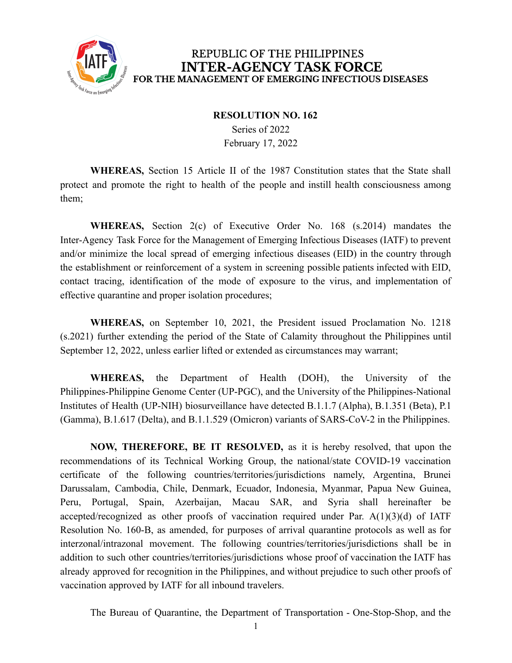

## REPUBLIC OF THE PHILIPPINES **INTER-AGENCY TASK FORCE** FOR THE MANAGEMENT OF EMERGING INFECTIOUS DISEASES

## **RESOLUTION NO. 162**

Series of 2022 February 17, 2022

**WHEREAS,** Section 15 Article II of the 1987 Constitution states that the State shall protect and promote the right to health of the people and instill health consciousness among them;

**WHEREAS,** Section 2(c) of Executive Order No. 168 (s.2014) mandates the Inter-Agency Task Force for the Management of Emerging Infectious Diseases (IATF) to prevent and/or minimize the local spread of emerging infectious diseases (EID) in the country through the establishment or reinforcement of a system in screening possible patients infected with EID, contact tracing, identification of the mode of exposure to the virus, and implementation of effective quarantine and proper isolation procedures;

**WHEREAS,** on September 10, 2021, the President issued Proclamation No. 1218 (s.2021) further extending the period of the State of Calamity throughout the Philippines until September 12, 2022, unless earlier lifted or extended as circumstances may warrant;

**WHEREAS,** the Department of Health (DOH), the University of the Philippines-Philippine Genome Center (UP-PGC), and the University of the Philippines-National Institutes of Health (UP-NIH) biosurveillance have detected B.1.1.7 (Alpha), B.1.351 (Beta), P.1 (Gamma), B.1.617 (Delta), and B.1.1.529 (Omicron) variants of SARS-CoV-2 in the Philippines.

**NOW, THEREFORE, BE IT RESOLVED,** as it is hereby resolved, that upon the recommendations of its Technical Working Group, the national/state COVID-19 vaccination certificate of the following countries/territories/jurisdictions namely, Argentina, Brunei Darussalam, Cambodia, Chile, Denmark, Ecuador, Indonesia, Myanmar, Papua New Guinea, Peru, Portugal, Spain, Azerbaijan, Macau SAR, and Syria shall hereinafter be accepted/recognized as other proofs of vaccination required under Par. A(1)(3)(d) of IATF Resolution No. 160-B, as amended, for purposes of arrival quarantine protocols as well as for interzonal/intrazonal movement. The following countries/territories/jurisdictions shall be in addition to such other countries/territories/jurisdictions whose proof of vaccination the IATF has already approved for recognition in the Philippines, and without prejudice to such other proofs of vaccination approved by IATF for all inbound travelers.

The Bureau of Quarantine, the Department of Transportation - One-Stop-Shop, and the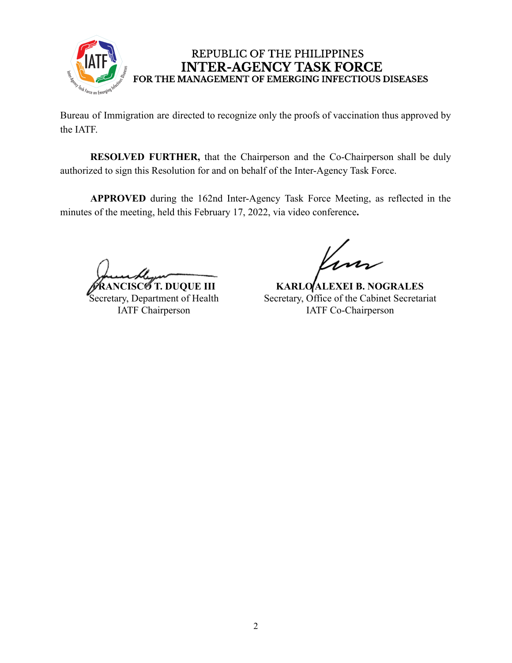

## REPUBLIC OF THE PHILIPPINES **INTER-AGENCY TASK FORCE** FOR THE MANAGEMENT OF EMERGING INFECTIOUS DISEASES

Bureau of Immigration are directed to recognize only the proofs of vaccination thus approved by the IATF.

**RESOLVED FURTHER,** that the Chairperson and the Co-Chairperson shall be duly authorized to sign this Resolution for and on behalf of the Inter-Agency Task Force.

**APPROVED** during the 162nd Inter-Agency Task Force Meeting, as reflected in the minutes of the meeting, held this February 17, 2022, via video conference**.**

**5** T. DUQUE III Secretary, Department of Health IATF Chairperson

**KARLO ALEXEI B. NOGRALES** Secretary, Office of the Cabinet Secretariat IATF Co-Chairperson